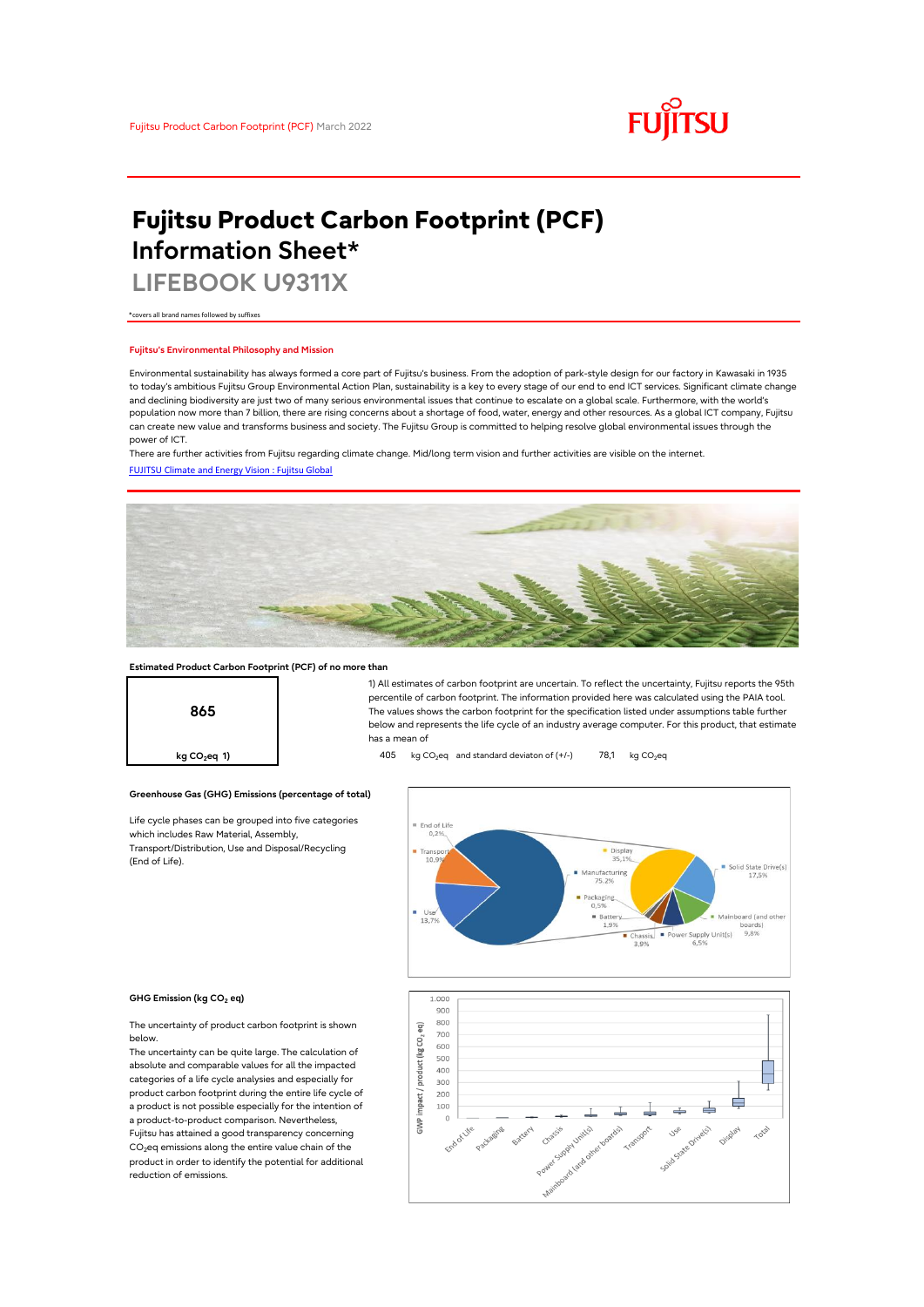

# **Fujitsu Product Carbon Footprint (PCF) Information Sheet\***

**LIFEBOOK U9311X**

\*covers all brand names followed by suffixes

## **Fujitsu's Environmental Philosophy and Mission**

Environmental sustainability has always formed a core part of Fujitsu's business. From the adoption of park-style design for our factory in Kawasaki in 1935 to today's ambitious Fujitsu Group Environmental Action Plan, sustainability is a key to every stage of our end to end ICT services. Significant climate change and declining biodiversity are just two of many serious environmental issues that continue to escalate on a global scale. Furthermore, with the world's population now more than 7 billion, there are rising concerns about a shortage of food, water, energy and other resources. As a global ICT company, Fujitsu can create new value and transforms business and society. The Fujitsu Group is committed to helping resolve global environmental issues through the power of ICT.

[FUJITSU Climate and Energy Vision : Fujitsu Global](https://www.fujitsu.com/global/about/environment/climate-energy-vision/) There are further activities from Fujitsu regarding climate change. Mid/long term vision and further activities are visible on the internet.



## **Estimated Product Carbon Footprint (PCF) of no more than**



1) All estimates of carbon footprint are uncertain. To reflect the uncertainty, Fujitsu reports the 95th percentile of carbon footprint. The information provided here was calculated using the PAIA tool. The values shows the carbon footprint for the specification listed under assumptions table further below and represents the life cycle of an industry average computer. For this product, that estimate has a mean of

**kg CO<sub>2</sub>eq 1) 105** kg CO<sub>2</sub>eq and standard deviaton of (+/-) 78,1 kg CO<sub>2</sub>eq



### **GHG Emission (kg CO2 eq)**

(End of Life).

The uncertainty of product carbon footprint is shown below.

Life cycle phases can be grouped into five categories

**Greenhouse Gas (GHG) Emissions (percentage of total)**

which includes Raw Material, Assembly, Transport/Distribution, Use and Disposal/Recycling

The uncertainty can be quite large. The calculation of absolute and comparable values for all the impacted categories of a life cycle analysies and especially for product carbon footprint during the entire life cycle of a product is not possible especially for the intention of a product-to-product comparison. Nevertheless, Fujitsu has attained a good transparency concerning CO<sub>2</sub>eq emissions along the entire value chain of the product in order to identify the potential for additional reduction of emissions.